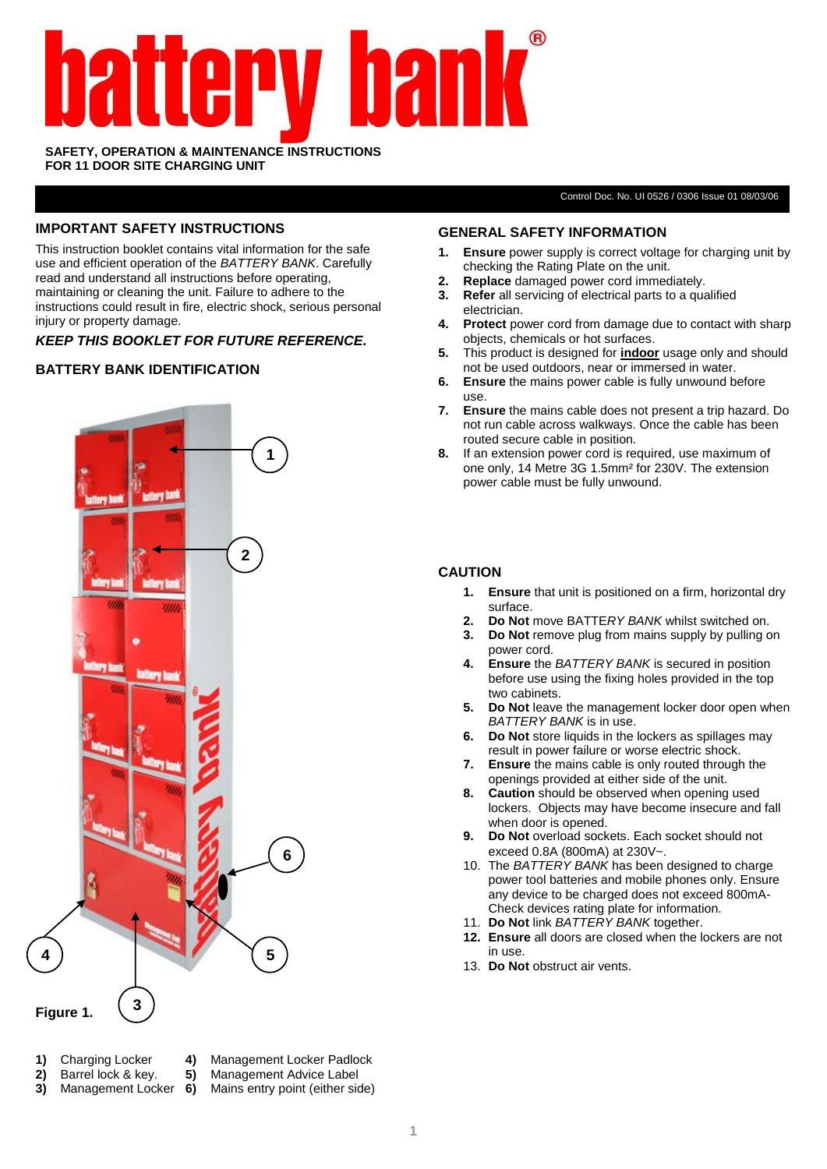# **IV 1121** 19

#### **SAFETY, OPERATION & MAINTENANCE INSTRUCTIONS FOR 11 DOOR SITE CHARGING UNIT**

Control Doc. No. UI 0526 / 0306 Issue 01 08/03/06

#### **IMPORTANT SAFETY INSTRUCTIONS**

This instruction booklet contains vital information for the safe use and efficient operation of the *BATTERY BANK*. Carefully read and understand all instructions before operating, maintaining or cleaning the unit. Failure to adhere to the instructions could result in fire, electric shock, serious personal injury or property damage.

*KEEP THIS BOOKLET FOR FUTURE REFERENCE.*

### **BATTERY BANK IDENTIFICATION**



- 
- 
- **2)** Barrel lock & key. **5)** Management Advice Label
- **1)** Charging Locker **4)** Management Locker Padlock
	-
- **3)** Management Locker **6)** Mains entry point (either side)

#### **GENERAL SAFETY INFORMATION**

- **1. Ensure** power supply is correct voltage for charging unit by checking the Rating Plate on the unit.
- **2. Replace** damaged power cord immediately.
- **3. Refer** all servicing of electrical parts to a qualified electrician.
- **4. Protect** power cord from damage due to contact with sharp objects, chemicals or hot surfaces.
- **5.** This product is designed for **indoor** usage only and should not be used outdoors, near or immersed in water.
- **6. Ensure** the mains power cable is fully unwound before use.
- **7. Ensure** the mains cable does not present a trip hazard. Do not run cable across walkways. Once the cable has been routed secure cable in position.
- **8.** If an extension power cord is required, use maximum of one only, 14 Metre 3G 1.5mm² for 230V. The extension power cable must be fully unwound.

#### **CAUTION**

- **1. Ensure** that unit is positioned on a firm, horizontal dry surface.
- **2. Do Not** move BATTE*RY BANK* whilst switched on.
- **3. Do Not** remove plug from mains supply by pulling on power cord.
- **4. Ensure** the *BATTERY BANK* is secured in position before use using the fixing holes provided in the top two cabinets.
- **5. Do Not** leave the management locker door open when *BATTERY BANK* is in use.
- **6. Do Not** store liquids in the lockers as spillages may result in power failure or worse electric shock.
- **7. Ensure** the mains cable is only routed through the openings provided at either side of the unit.
- **8. Caution** should be observed when opening used lockers. Objects may have become insecure and fall when door is opened.
- **9. Do Not** overload sockets. Each socket should not exceed 0.8A (800mA) at 230V~.
- 10. The *BATTERY BANK* has been designed to charge power tool batteries and mobile phones only. Ensure any device to be charged does not exceed 800mA-Check devices rating plate for information.
- 11. **Do Not** link *BATTERY BANK* together.
- **12. Ensure** all doors are closed when the lockers are not in use.
- 13. **Do Not** obstruct air vents.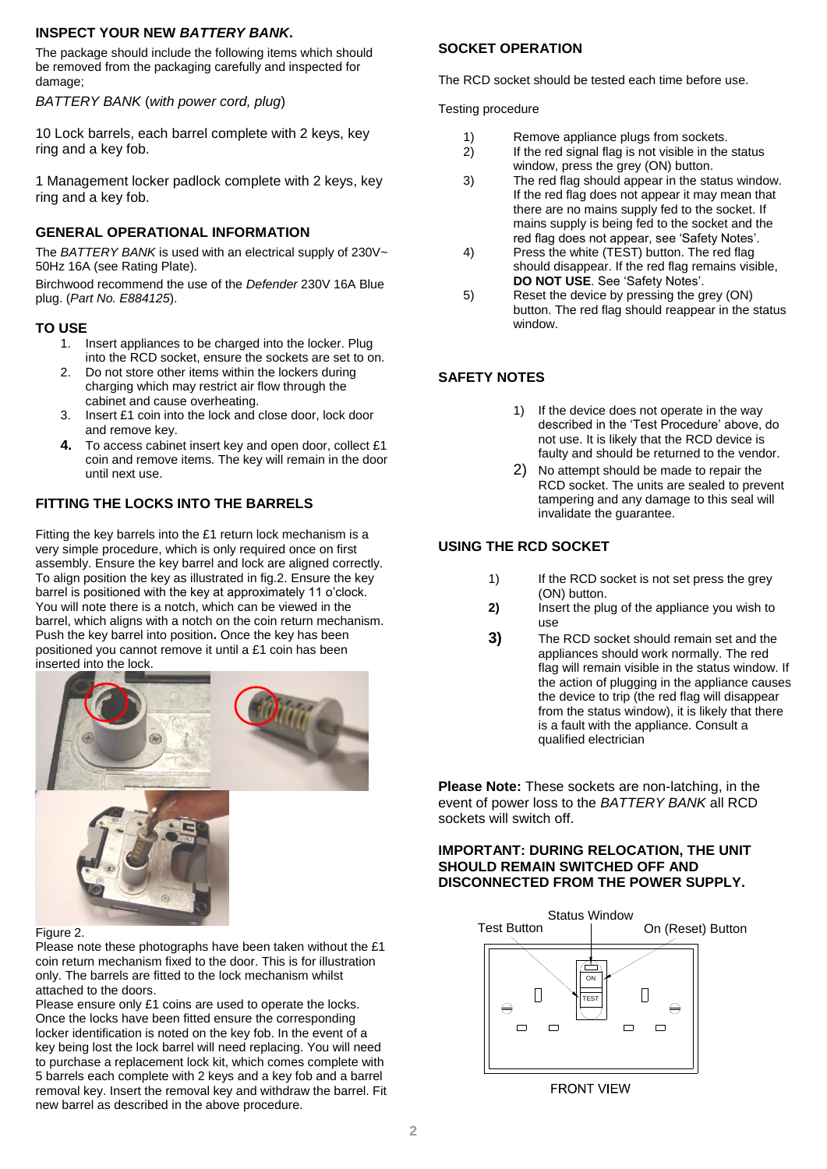### **INSPECT YOUR NEW** *BATTERY BANK***.**

The package should include the following items which should be removed from the packaging carefully and inspected for damage;

*BATTERY BANK* (*with power cord, plug*)

10 Lock barrels, each barrel complete with 2 keys, key ring and a key fob.

1 Management locker padlock complete with 2 keys, key ring and a key fob.

## **GENERAL OPERATIONAL INFORMATION**

The *BATTERY BANK* is used with an electrical supply of 230V~ 50Hz 16A (see Rating Plate).

Birchwood recommend the use of the *Defender* 230V 16A Blue plug. (*Part No. E884125*).

### **TO USE**

- 1. Insert appliances to be charged into the locker. Plug into the RCD socket, ensure the sockets are set to on.
- 2. Do not store other items within the lockers during charging which may restrict air flow through the cabinet and cause overheating.
- 3. Insert £1 coin into the lock and close door, lock door and remove key.
- **4.** To access cabinet insert key and open door, collect £1 coin and remove items. The key will remain in the door until next use.

# **FITTING THE LOCKS INTO THE BARRELS**

Fitting the key barrels into the £1 return lock mechanism is a very simple procedure, which is only required once on first assembly. Ensure the key barrel and lock are aligned correctly. To align position the key as illustrated in fig.2. Ensure the key barrel is positioned with the key at approximately 11 o'clock. You will note there is a notch, which can be viewed in the barrel, which aligns with a notch on the coin return mechanism. Push the key barrel into position**.** Once the key has been positioned you cannot remove it until a £1 coin has been inserted into the lock.





## Figure 2.

Please note these photographs have been taken without the £1 coin return mechanism fixed to the door. This is for illustration only. The barrels are fitted to the lock mechanism whilst attached to the doors.

Please ensure only £1 coins are used to operate the locks. Once the locks have been fitted ensure the corresponding locker identification is noted on the key fob. In the event of a key being lost the lock barrel will need replacing. You will need to purchase a replacement lock kit, which comes complete with 5 barrels each complete with 2 keys and a key fob and a barrel removal key. Insert the removal key and withdraw the barrel. Fit new barrel as described in the above procedure.

### **SOCKET OPERATION**

The RCD socket should be tested each time before use.

Testing procedure

- 1) Remove appliance plugs from sockets.
- $2)$  If the red signal flag is not visible in the status window, press the grey (ON) button.
- 3) The red flag should appear in the status window. If the red flag does not appear it may mean that there are no mains supply fed to the socket. If mains supply is being fed to the socket and the red flag does not appear, see 'Safety Notes'.
- 4) Press the white (TEST) button. The red flag should disappear. If the red flag remains visible, **DO NOT USE**. See 'Safety Notes'.
- 5) Reset the device by pressing the grey (ON) button. The red flag should reappear in the status window.

# **SAFETY NOTES**

- 1) If the device does not operate in the way described in the 'Test Procedure' above, do not use. It is likely that the RCD device is faulty and should be returned to the vendor.
- 2) No attempt should be made to repair the RCD socket. The units are sealed to prevent tampering and any damage to this seal will invalidate the guarantee.

## **USING THE RCD SOCKET**

- 1) If the RCD socket is not set press the grey (ON) button.
- **2)** Insert the plug of the appliance you wish to use
- **3)** The RCD socket should remain set and the appliances should work normally. The red flag will remain visible in the status window. If the action of plugging in the appliance causes the device to trip (the red flag will disappear from the status window), it is likely that there is a fault with the appliance. Consult a qualified electrician

**Please Note:** These sockets are non-latching, in the event of power loss to the *BATTERY BANK* all RCD sockets will switch off.

#### **IMPORTANT: DURING RELOCATION, THE UNIT SHOULD REMAIN SWITCHED OFF AND DISCONNECTED FROM THE POWER SUPPLY.**



**FRONT VIEW**